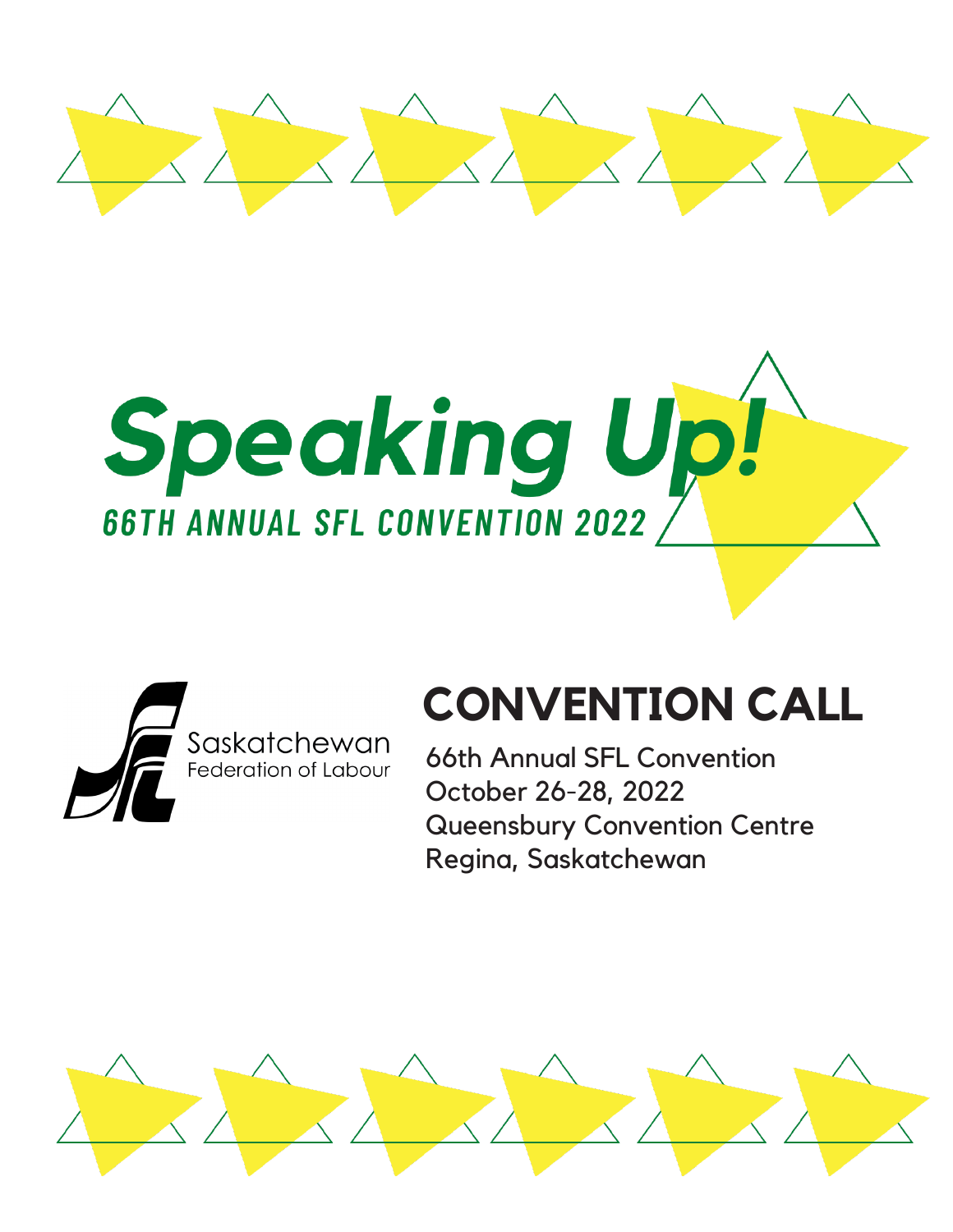





# **CONVENTION CALL**

66th Annual SFL Convention October 26-28, 2022 Queensbury Convention Centre Regina, Saskatchewan

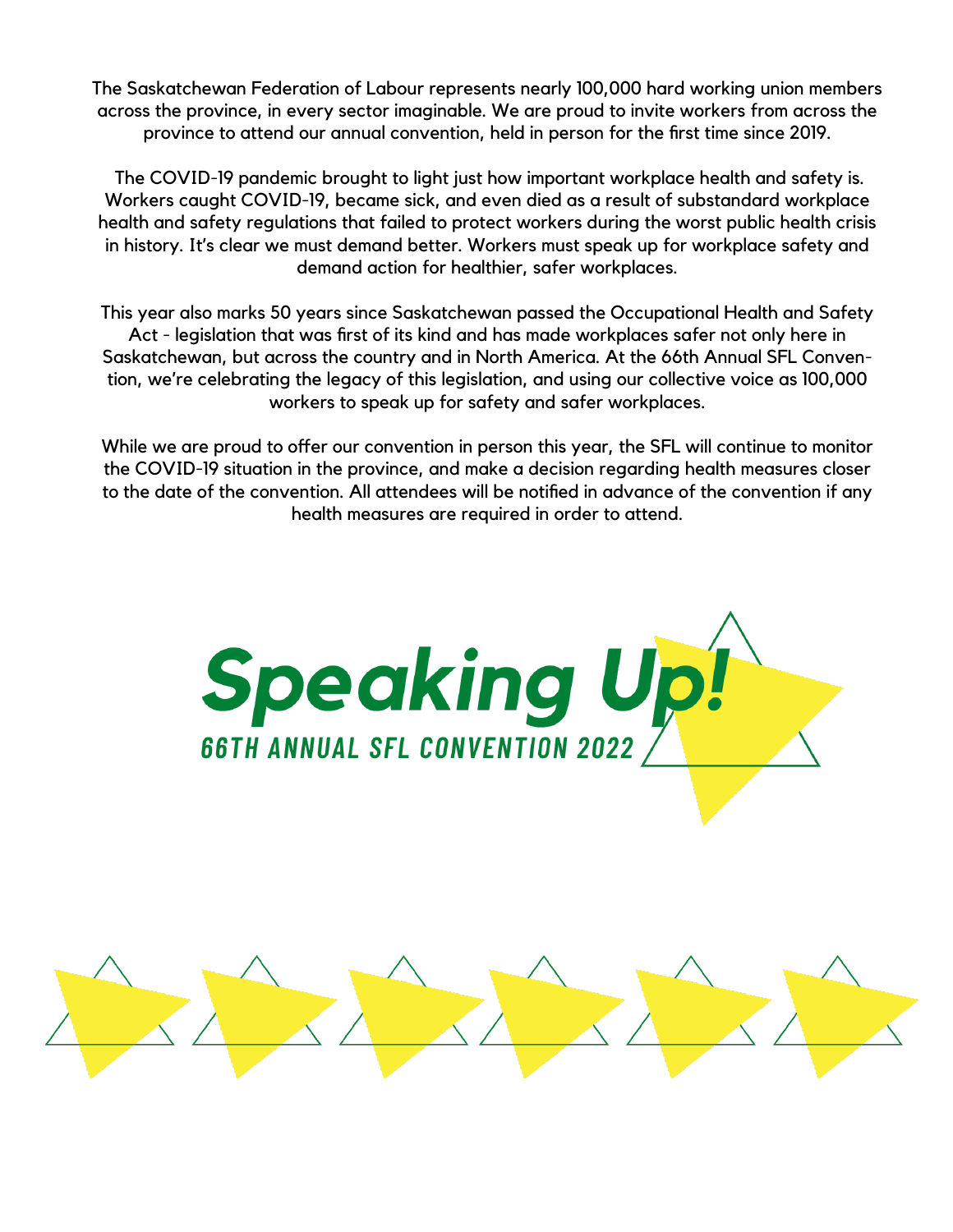The Saskatchewan Federation of Labour represents nearly 100,000 hard working union members across the province, in every sector imaginable. We are proud to invite workers from across the province to attend our annual convention, held in person for the first time since 2019.

 The COVID-19 pandemic brought to light just how important workplace health and safety is. Workers caught COVID-19, became sick, and even died as a result of substandard workplace health and safety regulations that failed to protect workers during the worst public health crisis in history. It's clear we must demand better. Workers must speak up for workplace safety and demand action for healthier, safer workplaces.

This year also marks 50 years since Saskatchewan passed the Occupational Health and Safety Act - legislation that was first of its kind and has made workplaces safer not only here in Saskatchewan, but across the country and in North America. At the 66th Annual SFL Convention, we're celebrating the legacy of this legislation, and using our collective voice as 100,000 workers to speak up for safety and safer workplaces.

While we are proud to offer our convention in person this year, the SFL will continue to monitor the COVID-19 situation in the province, and make a decision regarding health measures closer to the date of the convention. All attendees will be notified in advance of the convention if any health measures are required in order to attend.



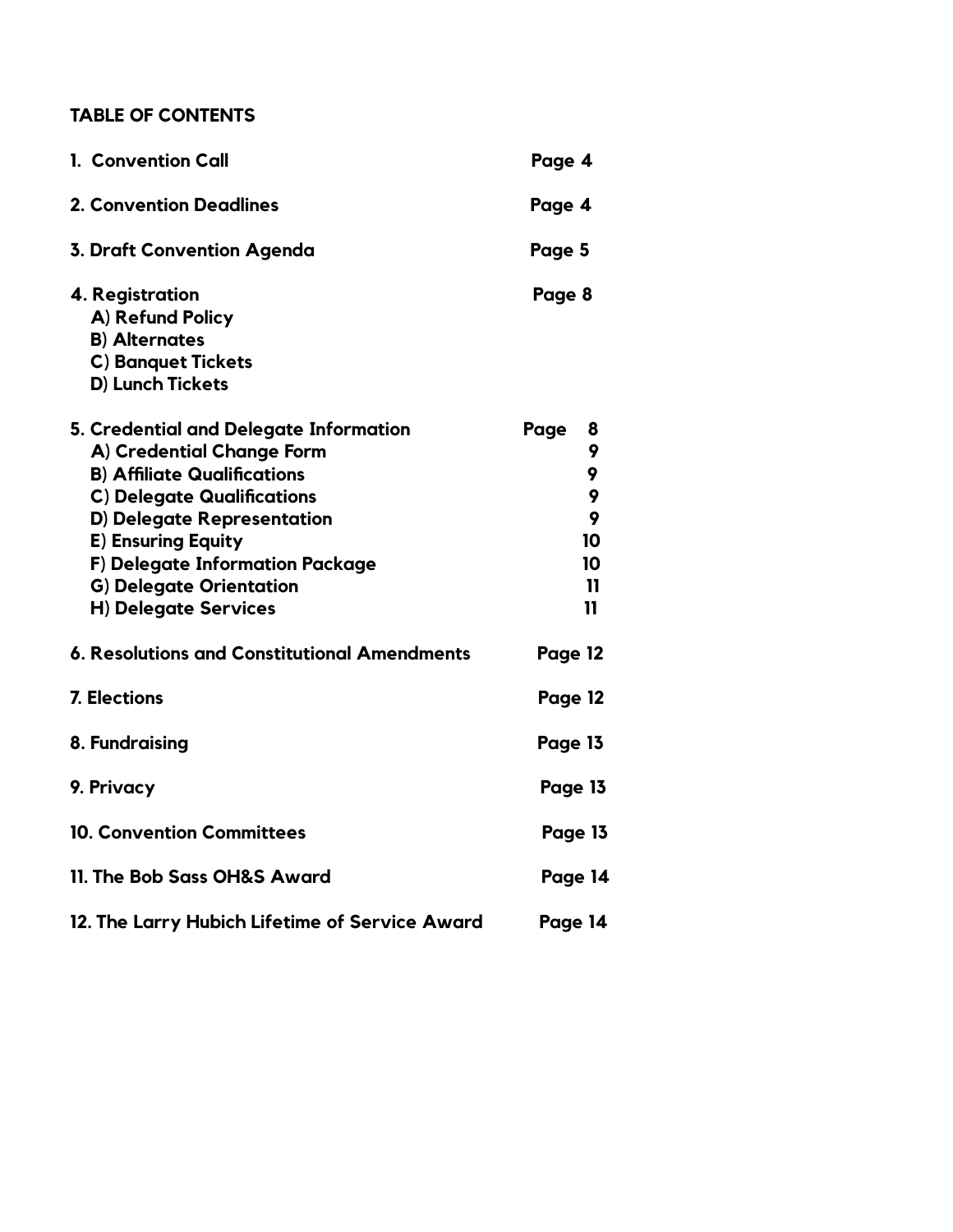### **TABLE OF CONTENTS**

| 1. Convention Call                                                                                                                                                                                                                                                                                     | Page 4                                                           |
|--------------------------------------------------------------------------------------------------------------------------------------------------------------------------------------------------------------------------------------------------------------------------------------------------------|------------------------------------------------------------------|
| <b>2. Convention Deadlines</b>                                                                                                                                                                                                                                                                         | Page 4                                                           |
| <b>3. Draft Convention Agenda</b>                                                                                                                                                                                                                                                                      | Page 5                                                           |
| 4. Registration<br>A) Refund Policy<br><b>B)</b> Alternates<br><b>C) Banquet Tickets</b><br>D) Lunch Tickets                                                                                                                                                                                           | Page 8                                                           |
| 5. Credential and Delegate Information<br>A) Credential Change Form<br><b>B) Affiliate Qualifications</b><br><b>C) Delegate Qualifications</b><br>D) Delegate Representation<br><b>E) Ensuring Equity</b><br>F) Delegate Information Package<br><b>G) Delegate Orientation</b><br>H) Delegate Services | Page<br>8<br>9<br>9<br>9<br>9<br>10<br>10<br>$\mathbf{11}$<br>11 |
| 6. Resolutions and Constitutional Amendments                                                                                                                                                                                                                                                           | Page 12                                                          |
| 7. Elections                                                                                                                                                                                                                                                                                           | Page 12                                                          |
| 8. Fundraising                                                                                                                                                                                                                                                                                         | Page 13                                                          |
| 9. Privacy                                                                                                                                                                                                                                                                                             | Page 13                                                          |
| <b>10. Convention Committees</b>                                                                                                                                                                                                                                                                       | Page 13                                                          |
| 11. The Bob Sass OH&S Award                                                                                                                                                                                                                                                                            | Page 14                                                          |
| 12. The Larry Hubich Lifetime of Service Award                                                                                                                                                                                                                                                         | Page 14                                                          |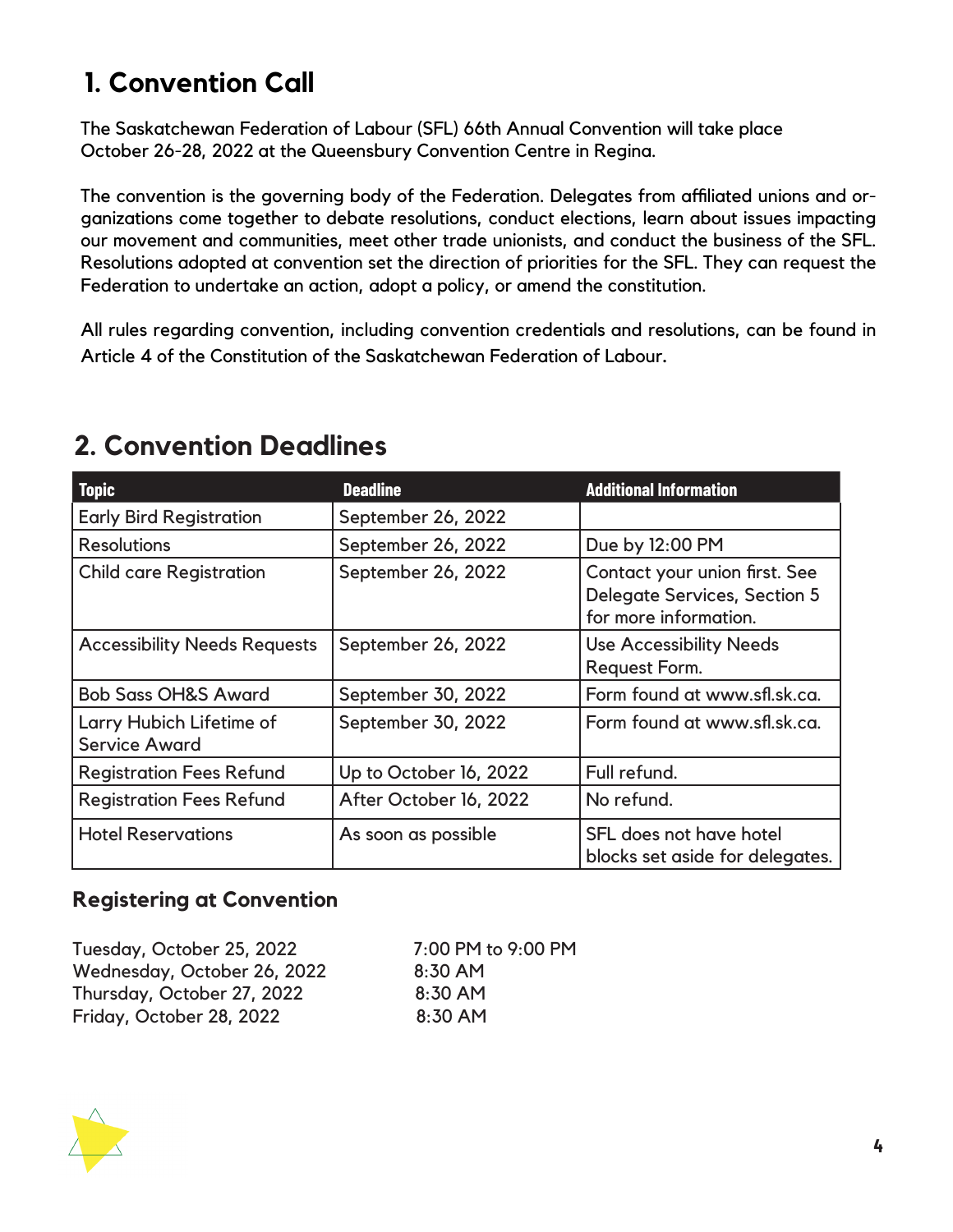# **1. Convention Call**

The Saskatchewan Federation of Labour (SFL) 66th Annual Convention will take place October 26-28, 2022 at the Queensbury Convention Centre in Regina.

The convention is the governing body of the Federation. Delegates from affiliated unions and organizations come together to debate resolutions, conduct elections, learn about issues impacting our movement and communities, meet other trade unionists, and conduct the business of the SFL. Resolutions adopted at convention set the direction of priorities for the SFL. They can request the Federation to undertake an action, adopt a policy, or amend the constitution.

All rules regarding convention, including convention credentials and resolutions, can be found in Article 4 of the Constitution of the Saskatchewan Federation of Labour.

| <b>Topic</b>                                     | <b>Deadline</b>        | <b>Additional Information</b>                                                                 |
|--------------------------------------------------|------------------------|-----------------------------------------------------------------------------------------------|
| <b>Early Bird Registration</b>                   | September 26, 2022     |                                                                                               |
| <b>Resolutions</b>                               | September 26, 2022     | Due by 12:00 PM                                                                               |
| <b>Child care Registration</b>                   | September 26, 2022     | Contact your union first. See<br><b>Delegate Services, Section 5</b><br>for more information. |
| <b>Accessibility Needs Requests</b>              | September 26, 2022     | <b>Use Accessibility Needs</b><br>Request Form.                                               |
| <b>Bob Sass OH&amp;S Award</b>                   | September 30, 2022     | Form found at www.sfl.sk.ca.                                                                  |
| Larry Hubich Lifetime of<br><b>Service Award</b> | September 30, 2022     | Form found at www.sfl.sk.ca.                                                                  |
| <b>Registration Fees Refund</b>                  | Up to October 16, 2022 | Full refund.                                                                                  |
| <b>Registration Fees Refund</b>                  | After October 16, 2022 | No refund.                                                                                    |
| <b>Hotel Reservations</b>                        | As soon as possible    | SFL does not have hotel<br>blocks set aside for delegates.                                    |

### **2. Convention Deadlines**

### **Registering at Convention**

Tuesday, October 25, 2022 7:00 PM to 9:00 PM Wednesday, October 26, 2022 8:30 AM Thursday, October 27, 2022 8:30 AM Friday, October 28, 2022 8:30 AM

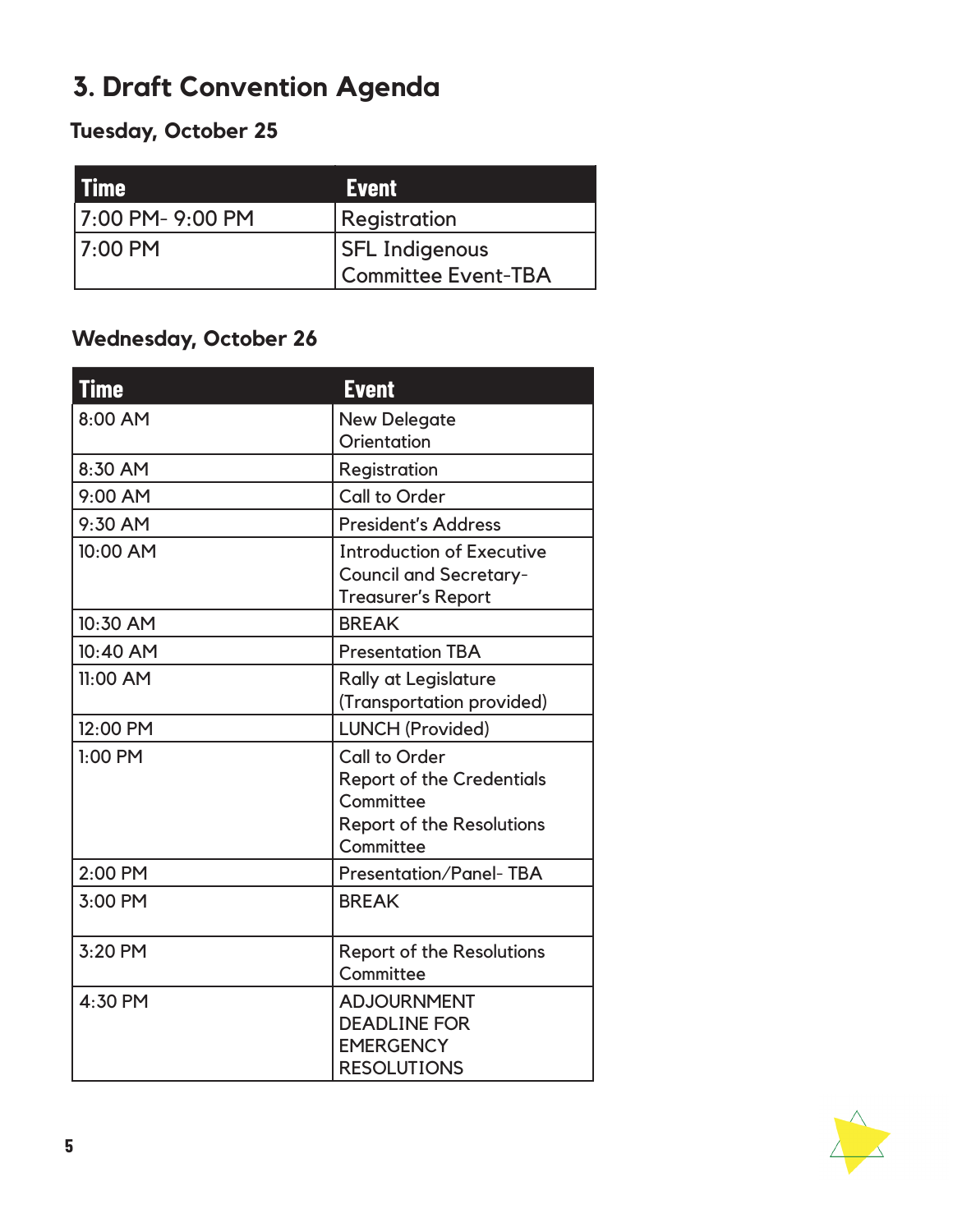# **3. Draft Convention Agenda**

### **Tuesday, October 25**

| <b>Time</b>     | <b>Event</b>          |
|-----------------|-----------------------|
| 7:00 PM-9:00 PM | Registration          |
| $17:00$ PM      | <b>SFL Indigenous</b> |
|                 | Committee Event-TBA   |

### **Wednesday, October 26**

| <b>Time</b> | <b>Event</b>                                                                                                    |
|-------------|-----------------------------------------------------------------------------------------------------------------|
| 8:00 AM     | <b>New Delegate</b>                                                                                             |
|             | Orientation                                                                                                     |
| 8:30 AM     | Registration                                                                                                    |
| 9:00 AM     | Call to Order                                                                                                   |
| 9:30 AM     | <b>President's Address</b>                                                                                      |
| 10:00 AM    | <b>Introduction of Executive</b><br><b>Council and Secretary-</b><br><b>Treasurer's Report</b>                  |
| 10:30 AM    | <b>BREAK</b>                                                                                                    |
| 10:40 AM    | <b>Presentation TBA</b>                                                                                         |
| 11:00 AM    | <b>Rally at Legislature</b><br>(Transportation provided)                                                        |
| 12:00 PM    | <b>LUNCH (Provided)</b>                                                                                         |
| $1:00$ PM   | Call to Order<br><b>Report of the Credentials</b><br>Committee<br><b>Report of the Resolutions</b><br>Committee |
| 2:00 PM     | <b>Presentation/Panel-TBA</b>                                                                                   |
| 3:00 PM     | <b>BREAK</b>                                                                                                    |
| 3:20 PM     | <b>Report of the Resolutions</b><br>Committee                                                                   |
| 4:30 PM     | <b>ADJOURNMENT</b><br><b>DEADLINE FOR</b><br><b>EMERGENCY</b><br><b>RESOLUTIONS</b>                             |

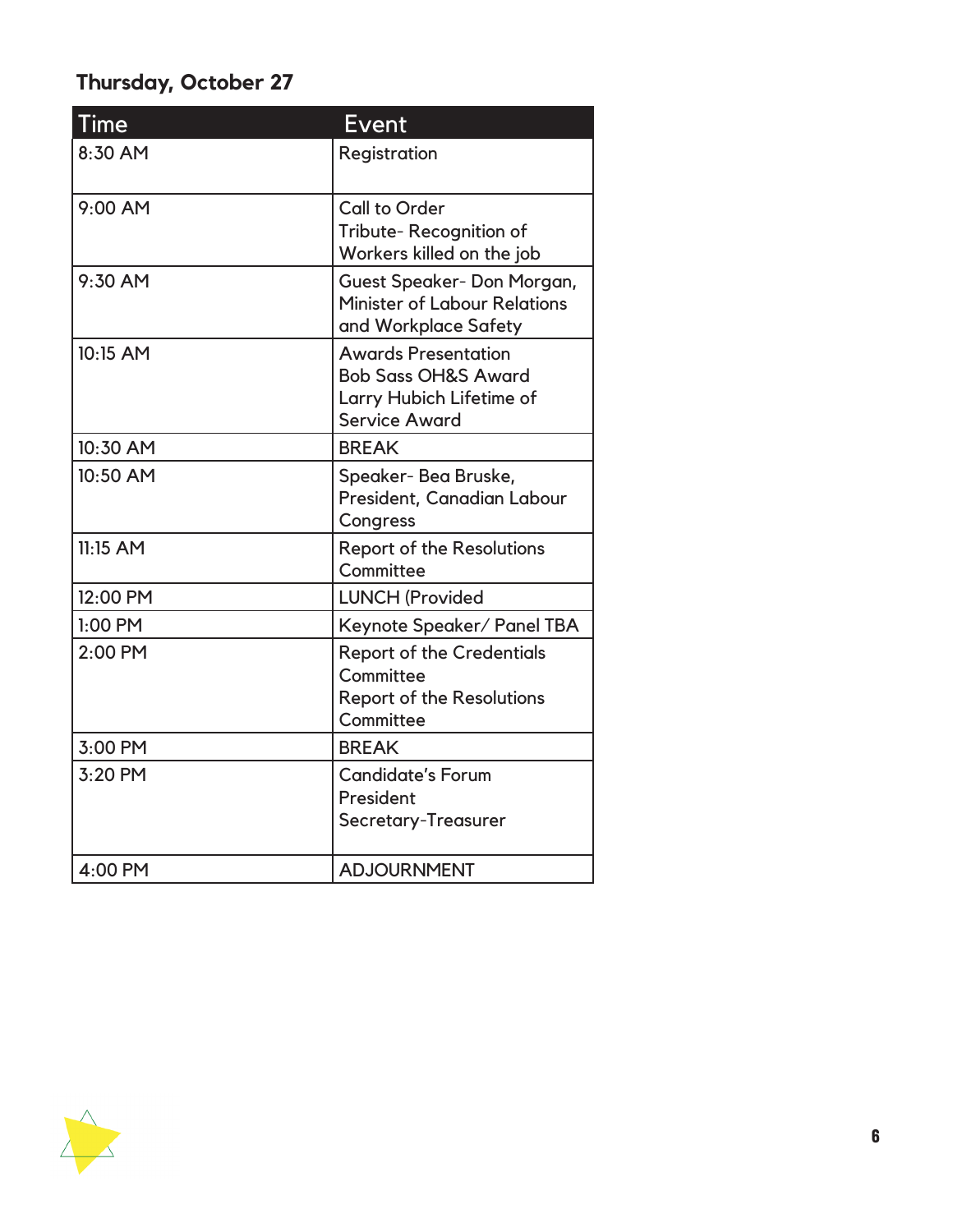### **Thursday, October 27**

| Time       | Event                                                                                                            |
|------------|------------------------------------------------------------------------------------------------------------------|
| 8:30 AM    | Registration                                                                                                     |
| 9:00 AM    | Call to Order<br>Tribute-Recognition of<br>Workers killed on the job                                             |
| 9:30 AM    | Guest Speaker-Don Morgan,<br><b>Minister of Labour Relations</b><br>and Workplace Safety                         |
| 10:15 AM   | <b>Awards Presentation</b><br><b>Bob Sass OH&amp;S Award</b><br>Larry Hubich Lifetime of<br><b>Service Award</b> |
| 10:30 AM   | <b>BREAK</b>                                                                                                     |
| 10:50 AM   | Speaker-Bea Bruske,<br>President, Canadian Labour<br>Congress                                                    |
| $11:15$ AM | <b>Report of the Resolutions</b><br>Committee                                                                    |
| 12:00 PM   | <b>LUNCH (Provided</b>                                                                                           |
| 1:00 PM    | Keynote Speaker/ Panel TBA                                                                                       |
| 2:00 PM    | <b>Report of the Credentials</b><br>Committee<br><b>Report of the Resolutions</b><br>Committee                   |
| 3:00 PM    | <b>BREAK</b>                                                                                                     |
| 3:20 PM    | <b>Candidate's Forum</b><br>President<br>Secretary-Treasurer                                                     |
| 4:00 PM    | <b>ADJOURNMENT</b>                                                                                               |

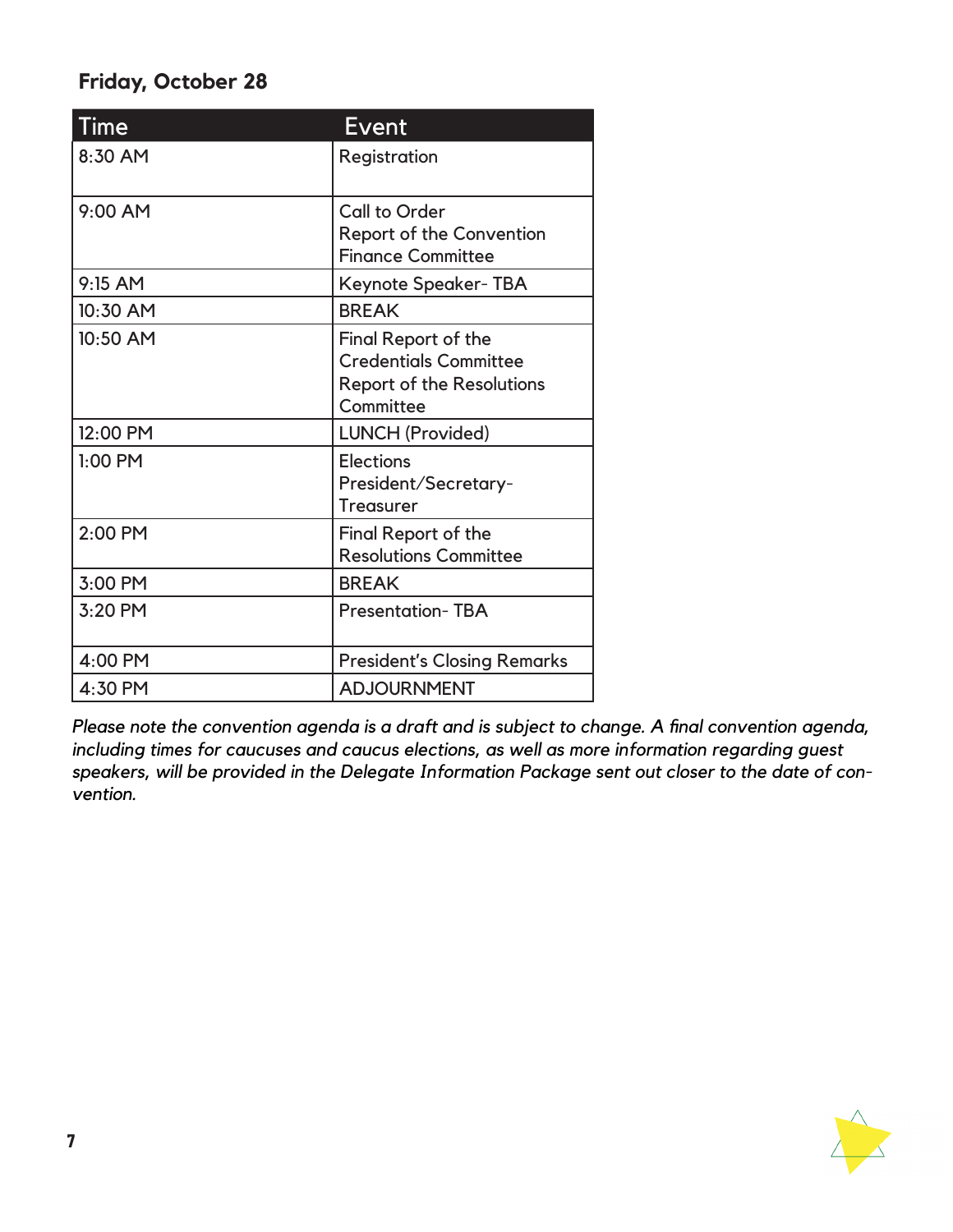### **Friday, October 28**

| <b>Time</b> | Event                                                                                                       |
|-------------|-------------------------------------------------------------------------------------------------------------|
| 8:30 AM     | Registration                                                                                                |
| 9:00 AM     | <b>Call to Order</b><br>Report of the Convention<br><b>Finance Committee</b>                                |
| 9:15 AM     | Keynote Speaker-TBA                                                                                         |
| 10:30 AM    | <b>BREAK</b>                                                                                                |
| 10:50 AM    | <b>Final Report of the</b><br><b>Credentials Committee</b><br><b>Report of the Resolutions</b><br>Committee |
| 12:00 PM    | LUNCH (Provided)                                                                                            |
| $1:00$ PM   | <b>Elections</b><br>President/Secretary-<br><b>Treasurer</b>                                                |
| 2:00 PM     | <b>Final Report of the</b><br><b>Resolutions Committee</b>                                                  |
| 3:00 PM     | <b>BREAK</b>                                                                                                |
| 3:20 PM     | <b>Presentation-TBA</b>                                                                                     |
| 4:00 PM     | <b>President's Closing Remarks</b>                                                                          |
| 4:30 PM     | <b>ADJOURNMENT</b>                                                                                          |

*Please note the convention agenda is a draft and is subject to change. A final convention agenda, including times for caucuses and caucus elections, as well as more information regarding guest speakers, will be provided in the Delegate Information Package sent out closer to the date of convention.*

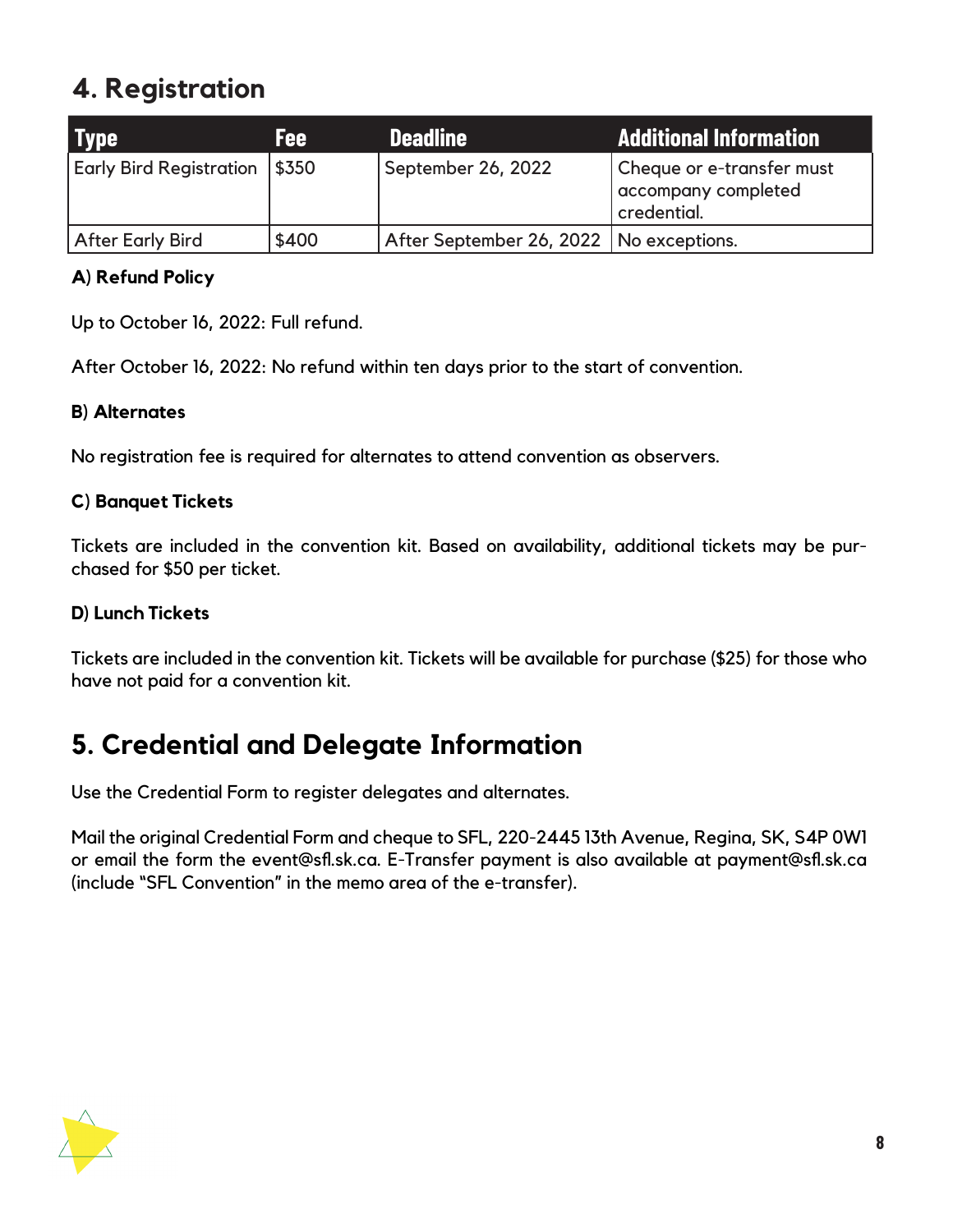### **4. Registration**

| <b>Type</b>                    | Fee:      | <b>Deadline</b>                           | Additional Information                                          |
|--------------------------------|-----------|-------------------------------------------|-----------------------------------------------------------------|
| <b>Early Bird Registration</b> | $ $ \$350 | September 26, 2022                        | Cheque or e-transfer must<br>accompany completed<br>credential. |
| After Early Bird               | \$400     | After September 26, 2022   No exceptions. |                                                                 |

#### **A) Refund Policy**

Up to October 16, 2022: Full refund.

After October 16, 2022: No refund within ten days prior to the start of convention.

#### **B) Alternates**

No registration fee is required for alternates to attend convention as observers.

#### **C) Banquet Tickets**

Tickets are included in the convention kit. Based on availability, additional tickets may be purchased for \$50 per ticket.

#### **D) Lunch Tickets**

Tickets are included in the convention kit. Tickets will be available for purchase (\$25) for those who have not paid for a convention kit.

### **5. Credential and Delegate Information**

Use the Credential Form to register delegates and alternates.

Mail the original Credential Form and cheque to SFL, 220-2445 13th Avenue, Regina, SK, S4P 0W1 or email the form the event@sfl.sk.ca. E-Transfer payment is also available at payment@sfl.sk.ca (include "SFL Convention" in the memo area of the e-transfer).

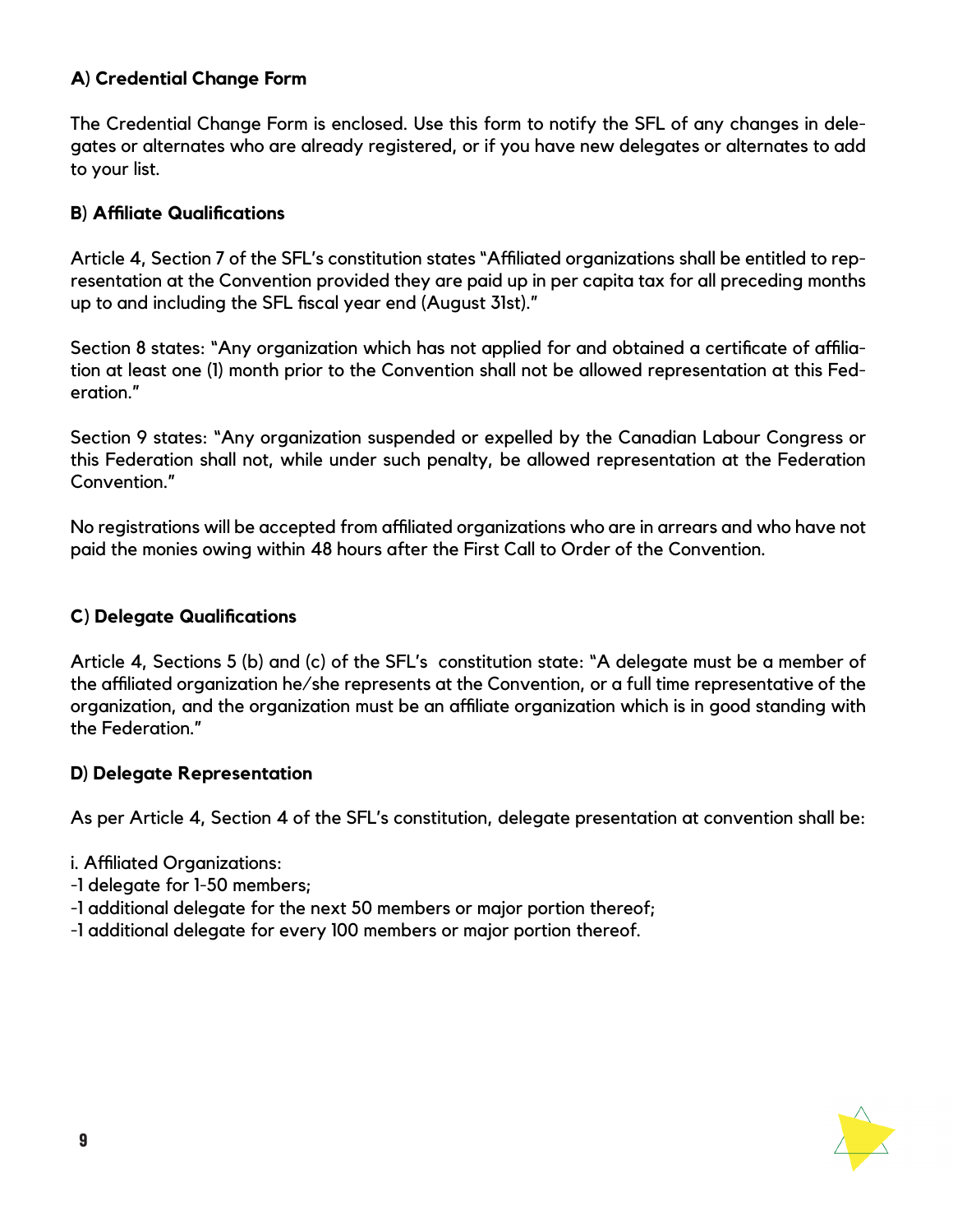#### **A) Credential Change Form**

The Credential Change Form is enclosed. Use this form to notify the SFL of any changes in delegates or alternates who are already registered, or if you have new delegates or alternates to add to your list.

#### **B) Affiliate Qualifications**

Article 4, Section 7 of the SFL's constitution states "Affiliated organizations shall be entitled to representation at the Convention provided they are paid up in per capita tax for all preceding months up to and including the SFL fiscal year end (August 31st)."

Section 8 states: "Any organization which has not applied for and obtained a certificate of affiliation at least one (1) month prior to the Convention shall not be allowed representation at this Federation."

Section 9 states: "Any organization suspended or expelled by the Canadian Labour Congress or this Federation shall not, while under such penalty, be allowed representation at the Federation Convention."

No registrations will be accepted from affiliated organizations who are in arrears and who have not paid the monies owing within 48 hours after the First Call to Order of the Convention.

#### **C) Delegate Qualifications**

Article 4, Sections 5 (b) and (c) of the SFL's constitution state: "A delegate must be a member of the affiliated organization he/she represents at the Convention, or a full time representative of the organization, and the organization must be an affiliate organization which is in good standing with the Federation."

#### **D) Delegate Representation**

As per Article 4, Section 4 of the SFL's constitution, delegate presentation at convention shall be:

- i. Affiliated Organizations:
- -1 delegate for 1-50 members;
- -1 additional delegate for the next 50 members or major portion thereof;
- -1 additional delegate for every 100 members or major portion thereof.

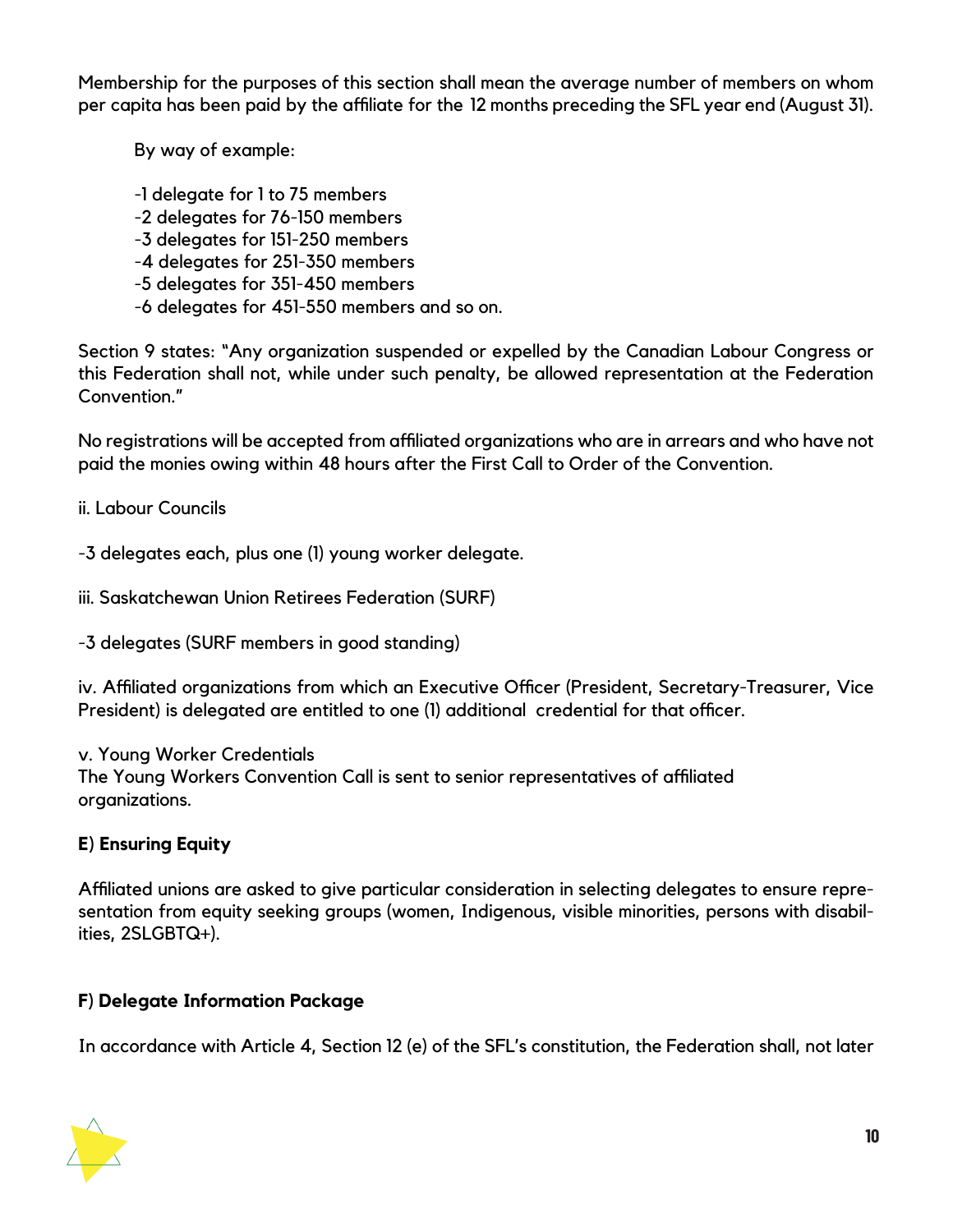Membership for the purposes of this section shall mean the average number of members on whom per capita has been paid by the affiliate for the 12 months preceding the SFL year end (August 31).

By way of example:

-1 delegate for 1 to 75 members

-2 delegates for 76-150 members

-3 delegates for 151-250 members

-4 delegates for 251-350 members

-5 delegates for 351-450 members

-6 delegates for 451-550 members and so on.

Section 9 states: "Any organization suspended or expelled by the Canadian Labour Congress or this Federation shall not, while under such penalty, be allowed representation at the Federation Convention."

No registrations will be accepted from affiliated organizations who are in arrears and who have not paid the monies owing within 48 hours after the First Call to Order of the Convention.

ii. Labour Councils

-3 delegates each, plus one (1) young worker delegate.

iii. Saskatchewan Union Retirees Federation (SURF)

-3 delegates (SURF members in good standing)

iv. Affiliated organizations from which an Executive Officer (President, Secretary-Treasurer, Vice President) is delegated are entitled to one (1) additional credential for that officer.

v. Young Worker Credentials

The Young Workers Convention Call is sent to senior representatives of affiliated organizations.

### **E) Ensuring Equity**

Affiliated unions are asked to give particular consideration in selecting delegates to ensure representation from equity seeking groups (women, Indigenous, visible minorities, persons with disabilities, 2SLGBTQ+).

### **F) Delegate Information Package**

In accordance with Article 4, Section 12 (e) of the SFL's constitution, the Federation shall, not later

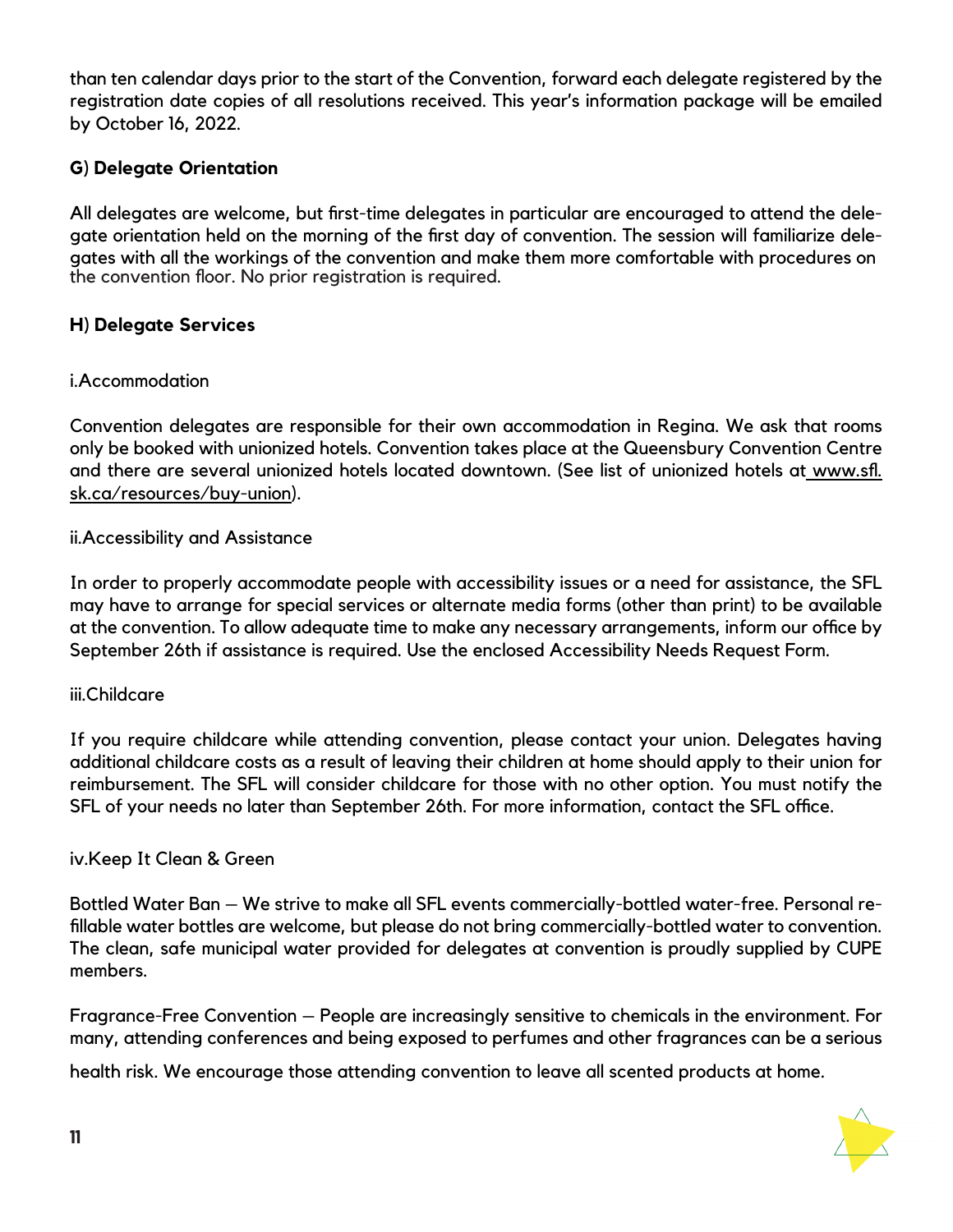than ten calendar days prior to the start of the Convention, forward each delegate registered by the registration date copies of all resolutions received. This year's information package will be emailed by October 16, 2022.

#### **G) Delegate Orientation**

All delegates are welcome, but first-time delegates in particular are encouraged to attend the delegate orientation held on the morning of the first day of convention. The session will familiarize delegates with all the workings of the convention and make them more comfortable with procedures on the convention floor. No prior registration is required.

#### **H) Delegate Services**

#### i.Accommodation

Convention delegates are responsible for their own accommodation in Regina. We ask that rooms only be booked with unionized hotels. Convention takes place at the Queensbury Convention Centre and there are several unionized hotels located downtown. (See list of unionized hotels at www.sfl. sk.ca/resources/buy-union).

#### ii.Accessibility and Assistance

In order to properly accommodate people with accessibility issues or a need for assistance, the SFL may have to arrange for special services or alternate media forms (other than print) to be available at the convention. To allow adequate time to make any necessary arrangements, inform our office by September 26th if assistance is required. Use the enclosed Accessibility Needs Request Form.

#### iii.Childcare

If you require childcare while attending convention, please contact your union. Delegates having additional childcare costs as a result of leaving their children at home should apply to their union for reimbursement. The SFL will consider childcare for those with no other option. You must notify the SFL of your needs no later than September 26th. For more information, contact the SFL office.

#### iv.Keep It Clean & Green

Bottled Water Ban – We strive to make all SFL events commercially-bottled water-free. Personal refillable water bottles are welcome, but please do not bring commercially-bottled water to convention. The clean, safe municipal water provided for delegates at convention is proudly supplied by CUPE members.

Fragrance-Free Convention – People are increasingly sensitive to chemicals in the environment. For many, attending conferences and being exposed to perfumes and other fragrances can be a serious

health risk. We encourage those attending convention to leave all scented products at home.

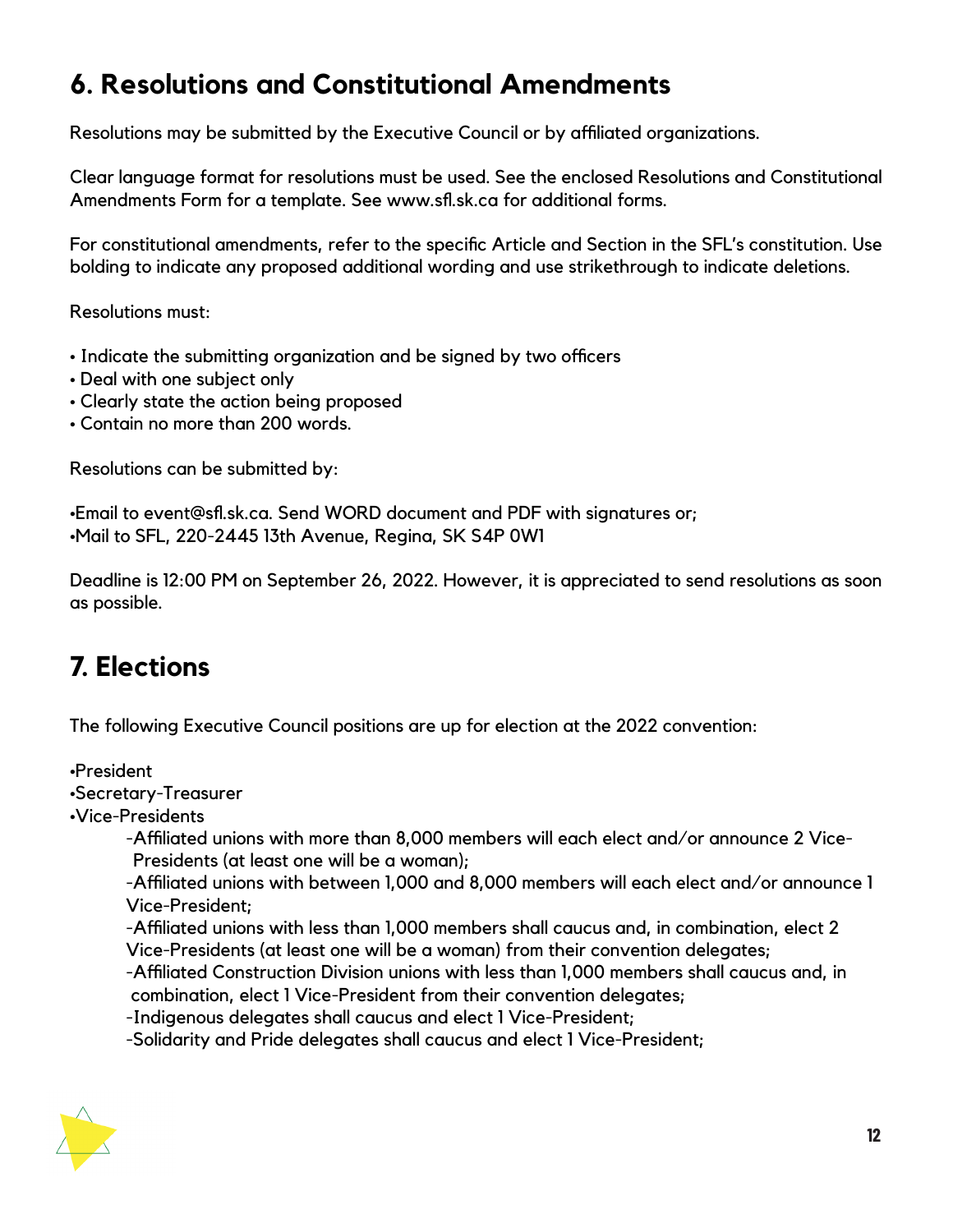### **6. Resolutions and Constitutional Amendments**

Resolutions may be submitted by the Executive Council or by affiliated organizations.

Clear language format for resolutions must be used. See the enclosed Resolutions and Constitutional Amendments Form for a template. See www.sfl.sk.ca for additional forms.

For constitutional amendments, refer to the specific Article and Section in the SFL's constitution. Use bolding to indicate any proposed additional wording and use strikethrough to indicate deletions.

Resolutions must:

- Indicate the submitting organization and be signed by two officers
- Deal with one subject only
- Clearly state the action being proposed
- Contain no more than 200 words.

Resolutions can be submitted by:

•Email to event@sfl.sk.ca. Send WORD document and PDF with signatures or; •Mail to SFL, 220-2445 13th Avenue, Regina, SK S4P 0W1

Deadline is 12:00 PM on September 26, 2022. However, it is appreciated to send resolutions as soon as possible.

## **7. Elections**

The following Executive Council positions are up for election at the 2022 convention:

•President

•Secretary-Treasurer

•Vice-Presidents

-Affiliated unions with more than 8,000 members will each elect and/or announce 2 Vice- Presidents (at least one will be a woman);

-Affiliated unions with between 1,000 and 8,000 members will each elect and/or announce 1 Vice-President;

-Affiliated unions with less than 1,000 members shall caucus and, in combination, elect 2 Vice-Presidents (at least one will be a woman) from their convention delegates;

-Affiliated Construction Division unions with less than 1,000 members shall caucus and, in combination, elect 1 Vice-President from their convention delegates;

-Indigenous delegates shall caucus and elect 1 Vice-President;

-Solidarity and Pride delegates shall caucus and elect 1 Vice-President;

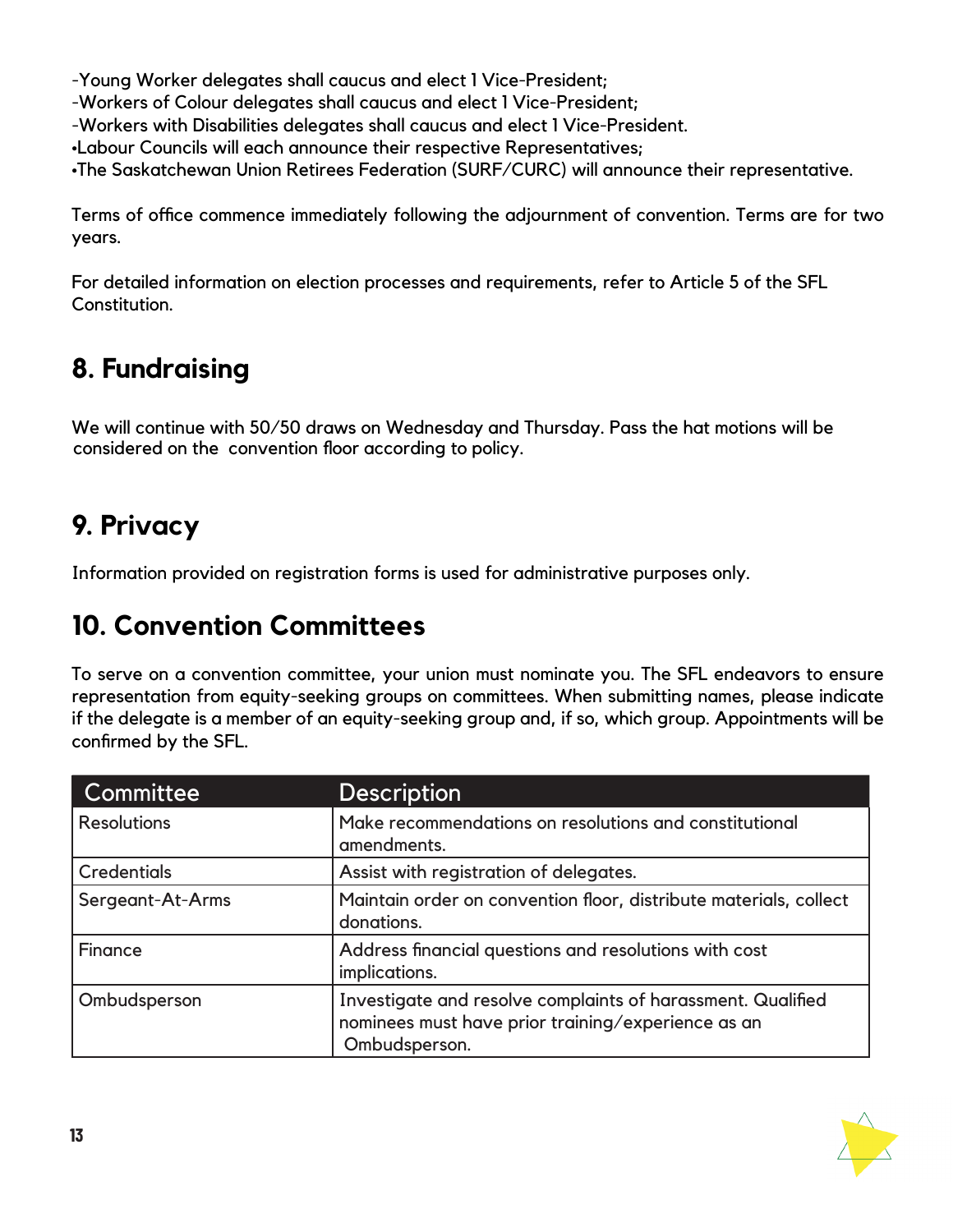-Young Worker delegates shall caucus and elect 1 Vice-President;

-Workers of Colour delegates shall caucus and elect 1 Vice-President;

-Workers with Disabilities delegates shall caucus and elect 1 Vice-President.

•Labour Councils will each announce their respective Representatives;

•The Saskatchewan Union Retirees Federation (SURF/CURC) will announce their representative.

Terms of office commence immediately following the adjournment of convention. Terms are for two years.

For detailed information on election processes and requirements, refer to Article 5 of the SFL Constitution.

# **8. Fundraising**

We will continue with 50/50 draws on Wednesday and Thursday. Pass the hat motions will be considered on the convention floor according to policy.

# **9. Privacy**

Information provided on registration forms is used for administrative purposes only.

## **10. Convention Committees**

To serve on a convention committee, your union must nominate you. The SFL endeavors to ensure representation from equity-seeking groups on committees. When submitting names, please indicate if the delegate is a member of an equity-seeking group and, if so, which group. Appointments will be confirmed by the SFL.

| Committee          | <b>Description</b>                                                                                                                 |
|--------------------|------------------------------------------------------------------------------------------------------------------------------------|
| <b>Resolutions</b> | Make recommendations on resolutions and constitutional<br>amendments.                                                              |
| <b>Credentials</b> | Assist with registration of delegates.                                                                                             |
| Sergeant-At-Arms   | Maintain order on convention floor, distribute materials, collect<br>donations.                                                    |
| Finance            | Address financial questions and resolutions with cost<br>implications.                                                             |
| Ombudsperson       | Investigate and resolve complaints of harassment. Qualified<br>nominees must have prior training/experience as an<br>Ombudsperson. |